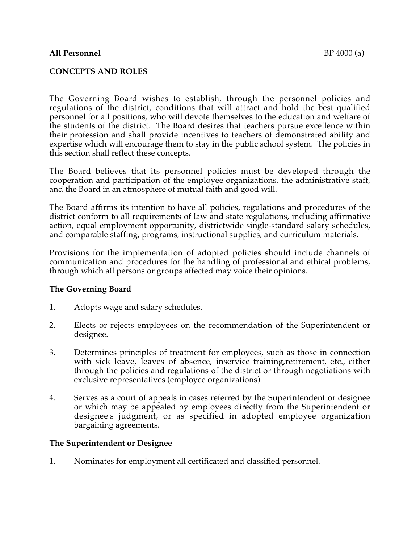#### **All Personnel** BP 4000 (a)

### **CONCEPTS AND ROLES**

The Governing Board wishes to establish, through the personnel policies and regulations of the district, conditions that will attract and hold the best qualified personnel for all positions, who will devote themselves to the education and welfare of the students of the district. The Board desires that teachers pursue excellence within their profession and shall provide incentives to teachers of demonstrated ability and expertise which will encourage them to stay in the public school system. The policies in this section shall reflect these concepts.

The Board believes that its personnel policies must be developed through the cooperation and participation of the employee organizations, the administrative staff, and the Board in an atmosphere of mutual faith and good will.

The Board affirms its intention to have all policies, regulations and procedures of the district conform to all requirements of law and state regulations, including affirmative action, equal employment opportunity, districtwide single-standard salary schedules, and comparable staffing, programs, instructional supplies, and curriculum materials.

Provisions for the implementation of adopted policies should include channels of communication and procedures for the handling of professional and ethical problems, through which all persons or groups affected may voice their opinions.

# **The Governing Board**

- 1. Adopts wage and salary schedules.
- 2. Elects or rejects employees on the recommendation of the Superintendent or designee.
- 3. Determines principles of treatment for employees, such as those in connection with sick leave, leaves of absence, inservice training,retirement, etc., either through the policies and regulations of the district or through negotiations with exclusive representatives (employee organizations).
- 4. Serves as a court of appeals in cases referred by the Superintendent or designee or which may be appealed by employees directly from the Superintendent or designee's judgment, or as specified in adopted employee organization bargaining agreements.

#### **The Superintendent or Designee**

1. Nominates for employment all certificated and classified personnel.